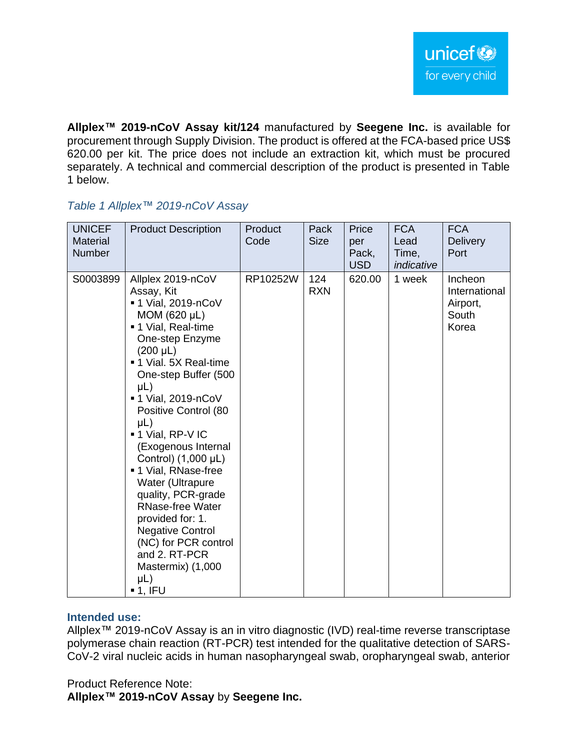**Allplex™ 2019-nCoV Assay kit/124** manufactured by **Seegene Inc.** is available for procurement through Supply Division. The product is offered at the FCA-based price US\$ 620.00 per kit. The price does not include an extraction kit, which must be procured separately. A technical and commercial description of the product is presented in Table 1 below.

## *Table 1 Allplex™ 2019-nCoV Assay*

| <b>UNICEF</b><br><b>Material</b><br>Number | <b>Product Description</b>                                                                                                                                                                                                                                                                                                                                                                                                                                                                                                                                  | Product<br>Code | Pack<br><b>Size</b> | Price<br>per<br>Pack,<br><b>USD</b> | <b>FCA</b><br>Lead<br>Time,<br>indicative | <b>FCA</b><br><b>Delivery</b><br>Port                  |
|--------------------------------------------|-------------------------------------------------------------------------------------------------------------------------------------------------------------------------------------------------------------------------------------------------------------------------------------------------------------------------------------------------------------------------------------------------------------------------------------------------------------------------------------------------------------------------------------------------------------|-----------------|---------------------|-------------------------------------|-------------------------------------------|--------------------------------------------------------|
| S0003899                                   | Allplex 2019-nCoV<br>Assay, Kit<br>■ 1 Vial, 2019-nCoV<br>MOM (620 µL)<br>■ 1 Vial, Real-time<br>One-step Enzyme<br>$(200 \mu L)$<br>■ 1 Vial. 5X Real-time<br>One-step Buffer (500<br>$\mu$ L)<br>■ 1 Vial, 2019-nCoV<br>Positive Control (80<br>$\mu$ L)<br>■ 1 Vial, RP-V IC<br>(Exogenous Internal<br>Control) (1,000 µL)<br>■ 1 Vial, RNase-free<br>Water (Ultrapure<br>quality, PCR-grade<br><b>RNase-free Water</b><br>provided for: 1.<br><b>Negative Control</b><br>(NC) for PCR control<br>and 2. RT-PCR<br>Mastermix) (1,000<br>µL)<br>$-1.$ IFU | RP10252W        | 124<br><b>RXN</b>   | 620.00                              | 1 week                                    | Incheon<br>International<br>Airport,<br>South<br>Korea |

# **Intended use:**

Allplex™ 2019-nCoV Assay is an in vitro diagnostic (IVD) real-time reverse transcriptase polymerase chain reaction (RT-PCR) test intended for the qualitative detection of SARS-CoV-2 viral nucleic acids in human nasopharyngeal swab, oropharyngeal swab, anterior

Product Reference Note: **Allplex™ 2019-nCoV Assay** by **Seegene Inc.**